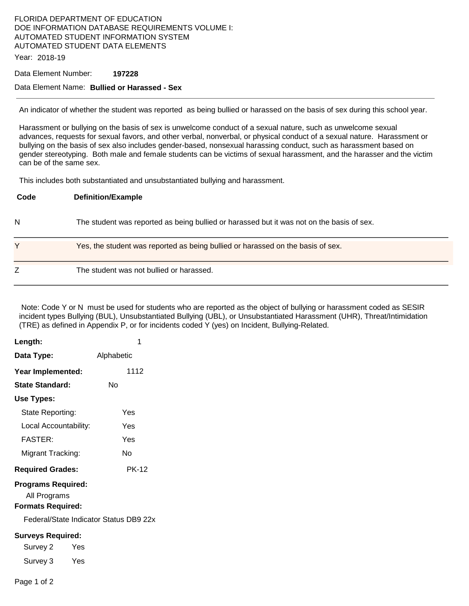# FLORIDA DEPARTMENT OF EDUCATION DOE INFORMATION DATABASE REQUIREMENTS VOLUME I: AUTOMATED STUDENT INFORMATION SYSTEM AUTOMATED STUDENT DATA ELEMENTS

Year: 2018-19

#### Data Element Number: **197228**

### Data Element Name: **Bullied or Harassed - Sex**

An indicator of whether the student was reported as being bullied or harassed on the basis of sex during this school year.

Harassment or bullying on the basis of sex is unwelcome conduct of a sexual nature, such as unwelcome sexual advances, requests for sexual favors, and other verbal, nonverbal, or physical conduct of a sexual nature. Harassment or bullying on the basis of sex also includes gender-based, nonsexual harassing conduct, such as harassment based on gender stereotyping. Both male and female students can be victims of sexual harassment, and the harasser and the victim can be of the same sex.

This includes both substantiated and unsubstantiated bullying and harassment.

| Code | <b>Definition/Example</b>                                                                 |
|------|-------------------------------------------------------------------------------------------|
| N    | The student was reported as being bullied or harassed but it was not on the basis of sex. |
| Υ    | Yes, the student was reported as being bullied or harassed on the basis of sex.           |
| Z    | The student was not bullied or harassed.                                                  |

 Note: Code Y or N must be used for students who are reported as the object of bullying or harassment coded as SESIR incident types Bullying (BUL), Unsubstantiated Bullying (UBL), or Unsubstantiated Harassment (UHR), Threat/Intimidation (TRE) as defined in Appendix P, or for incidents coded Y (yes) on Incident, Bullying-Related.

| Length:                                                               | 1                                      |  |  |  |
|-----------------------------------------------------------------------|----------------------------------------|--|--|--|
| Data Type:                                                            | Alphabetic                             |  |  |  |
| Year Implemented:                                                     | 1112                                   |  |  |  |
| State Standard:                                                       | Nο                                     |  |  |  |
| Use Types:                                                            |                                        |  |  |  |
| State Reporting:                                                      | Yes                                    |  |  |  |
| Local Accountability:                                                 | Yes                                    |  |  |  |
| <b>FASTER:</b>                                                        | Yes                                    |  |  |  |
| Migrant Tracking:                                                     | N٥                                     |  |  |  |
| <b>Required Grades:</b>                                               | <b>PK-12</b>                           |  |  |  |
| <b>Programs Required:</b><br>All Programs<br><b>Formats Required:</b> |                                        |  |  |  |
|                                                                       | Federal/State Indicator Status DB9 22x |  |  |  |
| <b>Surveys Required:</b>                                              |                                        |  |  |  |
| Survey 2<br>Yes                                                       |                                        |  |  |  |
| Survey 3 Yes                                                          |                                        |  |  |  |